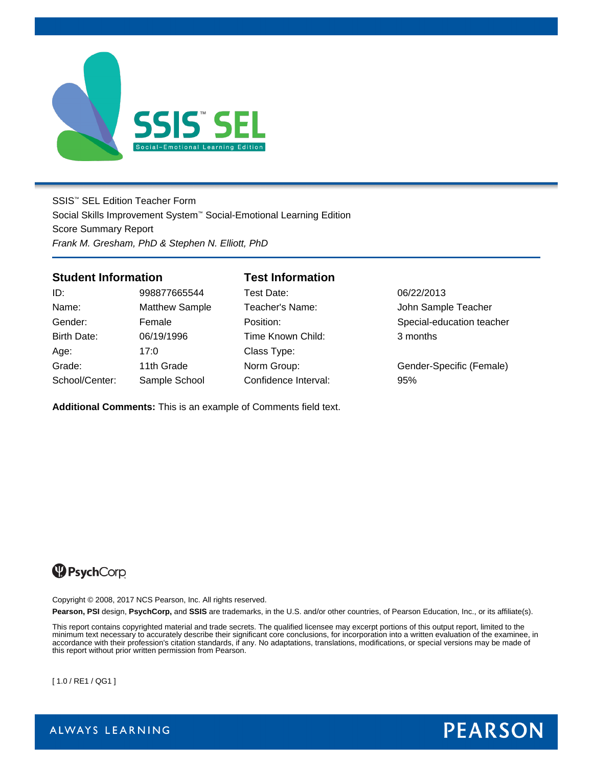

SSIS™ SEL Edition Teacher Form Social Skills Improvement System™ Social-Emotional Learning Edition Score Summary Report *Frank M. Gresham, PhD & Stephen N. Elliott, PhD*

### **Student Information Test Information**

| ID:            | 998877665544         |
|----------------|----------------------|
| Name:          | <b>Matthew Sampl</b> |
| Gender:        | Female               |
| Birth Date:    | 06/19/1996           |
| Age:           | 17:0                 |
| Grade:         | 11th Grade           |
| School/Center: | Sample School        |

Test Date: 06/22/2013 Time Known Child: 3 months Class Type: Confidence Interval: 95%

le Teacher's Name: Solid Sample Teacher Position: Special-education teacher

Norm Group: 69 Gender-Specific (Female)

**Additional Comments:** This is an example of Comments field text.

# <sup>9</sup>PsychCorp

Copyright © 2008, 2017 NCS Pearson, Inc. All rights reserved.

**Pearson, PSI** design, **PsychCorp,** and **SSIS** are trademarks, in the U.S. and/or other countries, of Pearson Education, Inc., or its affiliate(s).

This report contains copyrighted material and trade secrets. The qualified licensee may excerpt portions of this output report, limited to the minimum text necessary to accurately describe their significant core conclusions, for incorporation into a written evaluation of the examinee, in accordance with their profession's citation standards, if any. No adaptations, translations, modifications, or special versions may be made of this report without prior written permission from Pearson.

[ 1.0 / RE1 / QG1 ]



ALWAYS LEARNING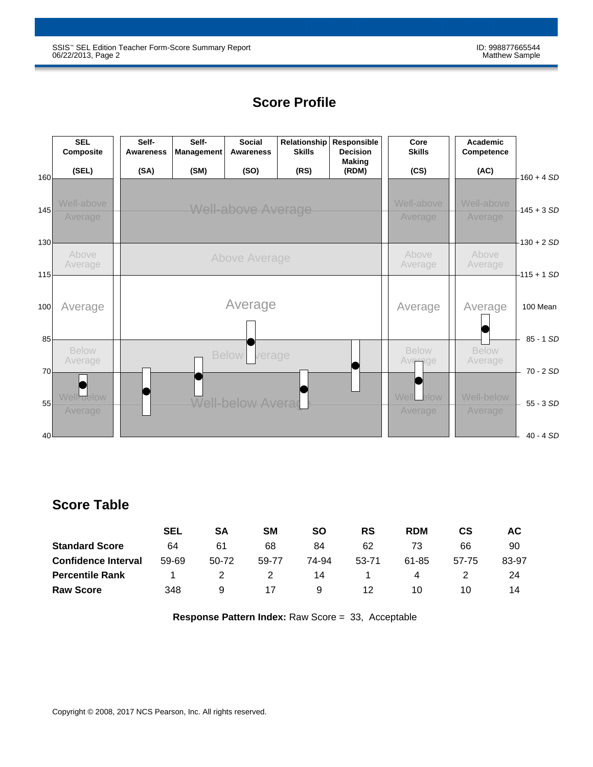# **Score Profile**

|                 | <b>SEL</b><br>Composite | Self-<br><b>Awareness</b> | Self-<br><b>Management</b> | Social<br>Awareness      | Relationship<br><b>Skills</b> | Responsible<br><b>Decision</b><br><b>Making</b> | Core<br><b>Skills</b> |               | Academic<br>Competence |                          |
|-----------------|-------------------------|---------------------------|----------------------------|--------------------------|-------------------------------|-------------------------------------------------|-----------------------|---------------|------------------------|--------------------------|
| 160             | (SEL)                   | (SA)                      | (SM)                       | (SO)                     | (RS)                          | (RDM)                                           | (CS)                  |               | (AC)                   | $160 + 4 SD$             |
| 145             | Well-above<br>Average   |                           | <b>Well-above Average</b>  | Well-above               | Well-above<br>Average         | $-145 + 3 SD$                                   |                       |               |                        |                          |
| 130             | Above<br>Average        |                           |                            | Above Average            | Above<br>Average              |                                                 | Above<br>Average      | $-130 + 2 SD$ |                        |                          |
| 115<br>100      | Average                 |                           | Average                    |                          |                               |                                                 |                       |               | Average                | $-115 + 1SD$<br>100 Mean |
| 85              | <b>Below</b>            |                           |                            | <b>Below</b><br>verage   |                               |                                                 | <b>Below</b>          |               | <b>Below</b>           | 85 - 1 SD                |
| 70              | Average                 |                           |                            |                          |                               |                                                 | Average               |               | Average                | $70 - 2SD$               |
| 55              | Well-pelow<br>Average   |                           |                            | <b>Well-below Averad</b> |                               |                                                 | Well_elow<br>Average  |               | Well-below<br>Average  | $55 - 3SD$               |
| 40 <sup>1</sup> |                         |                           |                            |                          |                               |                                                 |                       |               |                        | $40 - 4 SD$              |

# **Score Table**

|                            | SEL   | SA    | SM    | SΟ    | <b>RS</b> | <b>RDM</b> | СS    | АC    |
|----------------------------|-------|-------|-------|-------|-----------|------------|-------|-------|
| <b>Standard Score</b>      | 64    | 61    | 68    | 84    | 62        | 73         | 66    | 90    |
| <b>Confidence Interval</b> | 59-69 | 50-72 | 59-77 | 74-94 | 53-71     | 61-85      | 57-75 | 83-97 |
| <b>Percentile Rank</b>     |       |       |       | 14    |           | 4          |       | 24    |
| <b>Raw Score</b>           | 348   | 9     |       | 9     | 12        | 10         | 10    | 14    |

**Response Pattern Index:** Raw Score = 33, Acceptable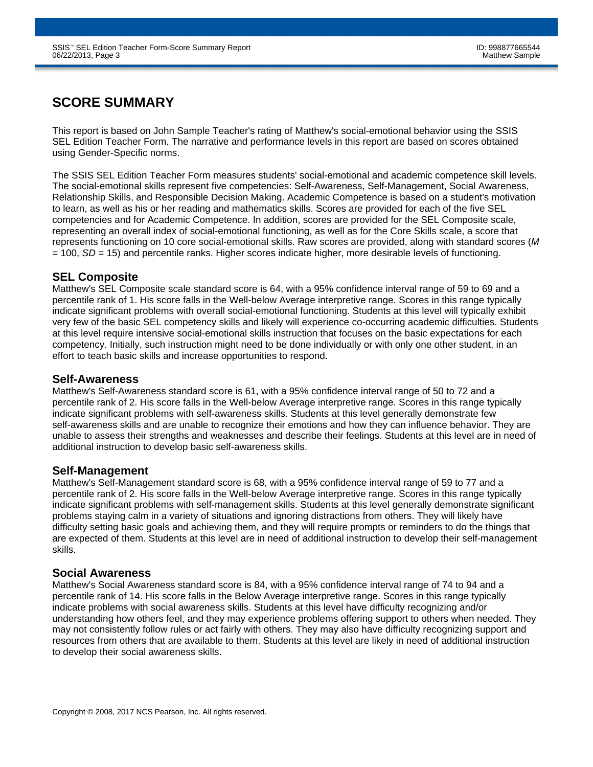# **SCORE SUMMARY**

This report is based on John Sample Teacher's rating of Matthew's social-emotional behavior using the SSIS SEL Edition Teacher Form. The narrative and performance levels in this report are based on scores obtained using Gender-Specific norms.

The SSIS SEL Edition Teacher Form measures students' social-emotional and academic competence skill levels. The social-emotional skills represent five competencies: Self-Awareness, Self-Management, Social Awareness, Relationship Skills, and Responsible Decision Making. Academic Competence is based on a student's motivation to learn, as well as his or her reading and mathematics skills. Scores are provided for each of the five SEL competencies and for Academic Competence. In addition, scores are provided for the SEL Composite scale, representing an overall index of social-emotional functioning, as well as for the Core Skills scale, a score that represents functioning on 10 core social-emotional skills. Raw scores are provided, along with standard scores (*M* = 100, *SD* = 15) and percentile ranks. Higher scores indicate higher, more desirable levels of functioning.

### **SEL Composite**

Matthew's SEL Composite scale standard score is 64, with a 95% confidence interval range of 59 to 69 and a percentile rank of 1. His score falls in the Well-below Average interpretive range. Scores in this range typically indicate significant problems with overall social-emotional functioning. Students at this level will typically exhibit very few of the basic SEL competency skills and likely will experience co-occurring academic difficulties. Students at this level require intensive social-emotional skills instruction that focuses on the basic expectations for each competency. Initially, such instruction might need to be done individually or with only one other student, in an effort to teach basic skills and increase opportunities to respond.

### **Self-Awareness**

Matthew's Self-Awareness standard score is 61, with a 95% confidence interval range of 50 to 72 and a percentile rank of 2. His score falls in the Well-below Average interpretive range. Scores in this range typically indicate significant problems with self-awareness skills. Students at this level generally demonstrate few self-awareness skills and are unable to recognize their emotions and how they can influence behavior. They are unable to assess their strengths and weaknesses and describe their feelings. Students at this level are in need of additional instruction to develop basic self-awareness skills.

### **Self-Management**

Matthew's Self-Management standard score is 68, with a 95% confidence interval range of 59 to 77 and a percentile rank of 2. His score falls in the Well-below Average interpretive range. Scores in this range typically indicate significant problems with self-management skills. Students at this level generally demonstrate significant problems staying calm in a variety of situations and ignoring distractions from others. They will likely have difficulty setting basic goals and achieving them, and they will require prompts or reminders to do the things that are expected of them. Students at this level are in need of additional instruction to develop their self-management skills.

### **Social Awareness**

Matthew's Social Awareness standard score is 84, with a 95% confidence interval range of 74 to 94 and a percentile rank of 14. His score falls in the Below Average interpretive range. Scores in this range typically indicate problems with social awareness skills. Students at this level have difficulty recognizing and/or understanding how others feel, and they may experience problems offering support to others when needed. They may not consistently follow rules or act fairly with others. They may also have difficulty recognizing support and resources from others that are available to them. Students at this level are likely in need of additional instruction to develop their social awareness skills.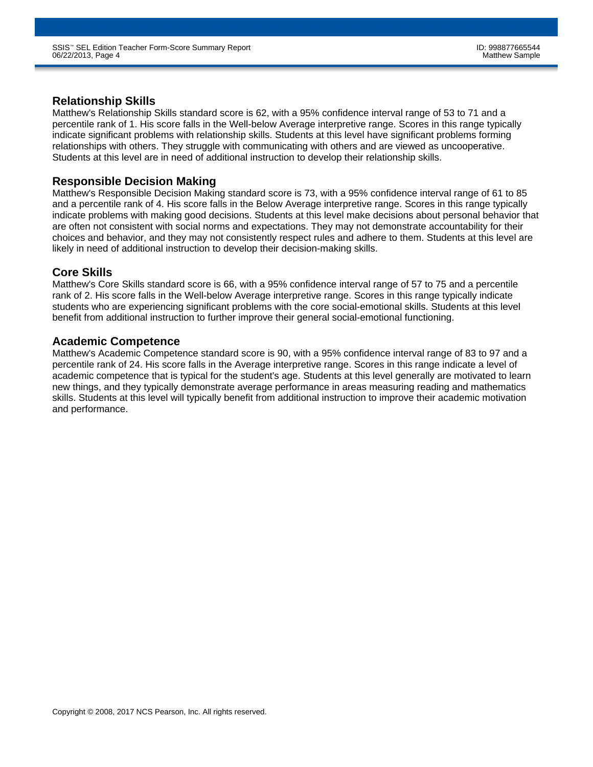### **Relationship Skills**

Matthew's Relationship Skills standard score is 62, with a 95% confidence interval range of 53 to 71 and a percentile rank of 1. His score falls in the Well-below Average interpretive range. Scores in this range typically indicate significant problems with relationship skills. Students at this level have significant problems forming relationships with others. They struggle with communicating with others and are viewed as uncooperative. Students at this level are in need of additional instruction to develop their relationship skills.

### **Responsible Decision Making**

Matthew's Responsible Decision Making standard score is 73, with a 95% confidence interval range of 61 to 85 and a percentile rank of 4. His score falls in the Below Average interpretive range. Scores in this range typically indicate problems with making good decisions. Students at this level make decisions about personal behavior that are often not consistent with social norms and expectations. They may not demonstrate accountability for their choices and behavior, and they may not consistently respect rules and adhere to them. Students at this level are likely in need of additional instruction to develop their decision-making skills.

### **Core Skills**

Matthew's Core Skills standard score is 66, with a 95% confidence interval range of 57 to 75 and a percentile rank of 2. His score falls in the Well-below Average interpretive range. Scores in this range typically indicate students who are experiencing significant problems with the core social-emotional skills. Students at this level benefit from additional instruction to further improve their general social-emotional functioning.

### **Academic Competence**

Matthew's Academic Competence standard score is 90, with a 95% confidence interval range of 83 to 97 and a percentile rank of 24. His score falls in the Average interpretive range. Scores in this range indicate a level of academic competence that is typical for the student's age. Students at this level generally are motivated to learn new things, and they typically demonstrate average performance in areas measuring reading and mathematics skills. Students at this level will typically benefit from additional instruction to improve their academic motivation and performance.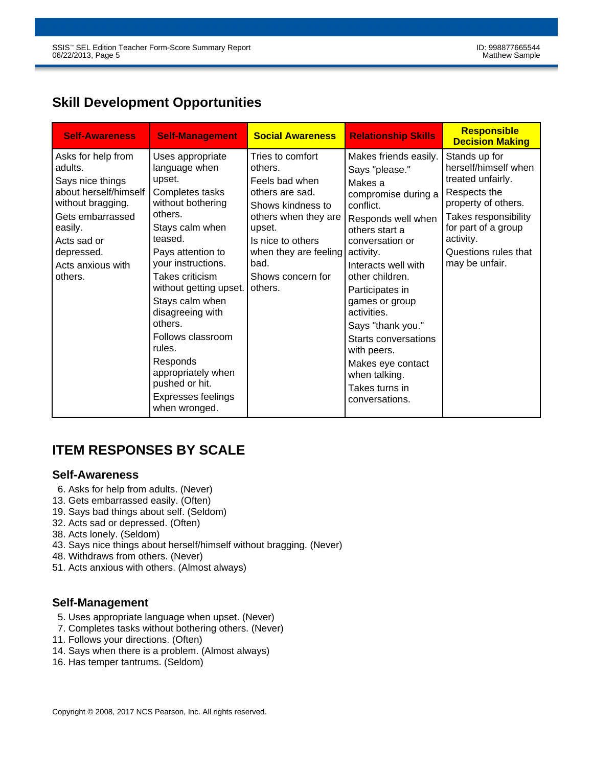# **Skill Development Opportunities**

| <b>Self-Awareness</b>                                                                                                                                                                       | <b>Self-Management</b>                                                                                                                                                                                                                                                                                                                                                                           | <b>Social Awareness</b>                                                                                                                                                                                       | <b>Relationship Skills</b>                                                                                                                                                                                                                                                                                                                                                                         | <b>Responsible</b><br><b>Decision Making</b>                                                                                                                                                            |
|---------------------------------------------------------------------------------------------------------------------------------------------------------------------------------------------|--------------------------------------------------------------------------------------------------------------------------------------------------------------------------------------------------------------------------------------------------------------------------------------------------------------------------------------------------------------------------------------------------|---------------------------------------------------------------------------------------------------------------------------------------------------------------------------------------------------------------|----------------------------------------------------------------------------------------------------------------------------------------------------------------------------------------------------------------------------------------------------------------------------------------------------------------------------------------------------------------------------------------------------|---------------------------------------------------------------------------------------------------------------------------------------------------------------------------------------------------------|
| Asks for help from<br>adults.<br>Says nice things<br>about herself/himself<br>without bragging.<br>Gets embarrassed<br>easily.<br>Acts sad or<br>depressed.<br>Acts anxious with<br>others. | Uses appropriate<br>language when<br>upset.<br>Completes tasks<br>without bothering<br>others.<br>Stays calm when<br>teased.<br>Pays attention to<br>your instructions.<br>Takes criticism<br>without getting upset.<br>Stays calm when<br>disagreeing with<br>others.<br>Follows classroom<br>rules.<br>Responds<br>appropriately when<br>pushed or hit.<br>Expresses feelings<br>when wronged. | Tries to comfort<br>others.<br>Feels bad when<br>others are sad.<br>Shows kindness to<br>others when they are<br>upset.<br>Is nice to others<br>when they are feeling<br>bad.<br>Shows concern for<br>others. | Makes friends easily.<br>Says "please."<br>Makes a<br>compromise during a<br>conflict.<br>Responds well when<br>others start a<br>conversation or<br>activity.<br>Interacts well with<br>other children.<br>Participates in<br>games or group<br>activities.<br>Says "thank you."<br>Starts conversations<br>with peers.<br>Makes eye contact<br>when talking.<br>Takes turns in<br>conversations. | Stands up for<br>herself/himself when<br>treated unfairly.<br>Respects the<br>property of others.<br>Takes responsibility<br>for part of a group<br>activity.<br>Questions rules that<br>may be unfair. |

# **ITEM RESPONSES BY SCALE**

### **Self-Awareness**

- 6. Asks for help from adults. (Never)
- 13. Gets embarrassed easily. (Often)
- 19. Says bad things about self. (Seldom)
- 32. Acts sad or depressed. (Often)
- 38. Acts lonely. (Seldom)
- 43. Says nice things about herself/himself without bragging. (Never)
- 48. Withdraws from others. (Never)
- 51. Acts anxious with others. (Almost always)

## **Self-Management**

- 5. Uses appropriate language when upset. (Never)
- 7. Completes tasks without bothering others. (Never)
- 11. Follows your directions. (Often)
- 14. Says when there is a problem. (Almost always)
- 16. Has temper tantrums. (Seldom)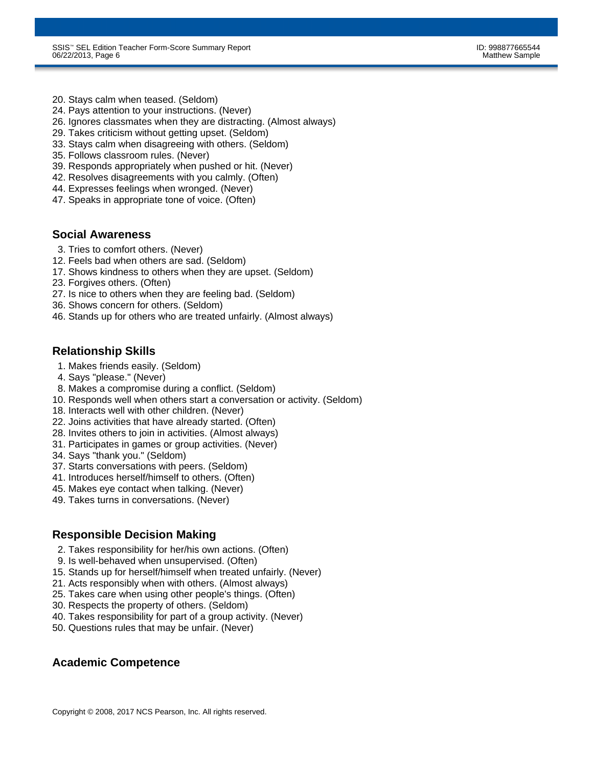- 20. Stays calm when teased. (Seldom)
- 24. Pays attention to your instructions. (Never)
- 26. Ignores classmates when they are distracting. (Almost always)
- 29. Takes criticism without getting upset. (Seldom)
- 33. Stays calm when disagreeing with others. (Seldom)
- 35. Follows classroom rules. (Never)
- 39. Responds appropriately when pushed or hit. (Never)
- 42. Resolves disagreements with you calmly. (Often)
- 44. Expresses feelings when wronged. (Never)
- 47. Speaks in appropriate tone of voice. (Often)

#### **Social Awareness**

- 3. Tries to comfort others. (Never)
- 12. Feels bad when others are sad. (Seldom)
- 17. Shows kindness to others when they are upset. (Seldom)
- 23. Forgives others. (Often)
- 27. Is nice to others when they are feeling bad. (Seldom)
- 36. Shows concern for others. (Seldom)
- 46. Stands up for others who are treated unfairly. (Almost always)

### **Relationship Skills**

- 1. Makes friends easily. (Seldom)
- 4. Says "please." (Never)
- 8. Makes a compromise during a conflict. (Seldom)
- 10. Responds well when others start a conversation or activity. (Seldom)
- 18. Interacts well with other children. (Never)
- 22. Joins activities that have already started. (Often)
- 28. Invites others to join in activities. (Almost always)
- 31. Participates in games or group activities. (Never)
- 34. Says "thank you." (Seldom)
- 37. Starts conversations with peers. (Seldom)
- 41. Introduces herself/himself to others. (Often)
- 45. Makes eye contact when talking. (Never)
- 49. Takes turns in conversations. (Never)

### **Responsible Decision Making**

- 2. Takes responsibility for her/his own actions. (Often)
- 9. Is well-behaved when unsupervised. (Often)
- 15. Stands up for herself/himself when treated unfairly. (Never)
- 21. Acts responsibly when with others. (Almost always)
- 25. Takes care when using other people's things. (Often)
- 30. Respects the property of others. (Seldom)
- 40. Takes responsibility for part of a group activity. (Never)
- 50. Questions rules that may be unfair. (Never)

### **Academic Competence**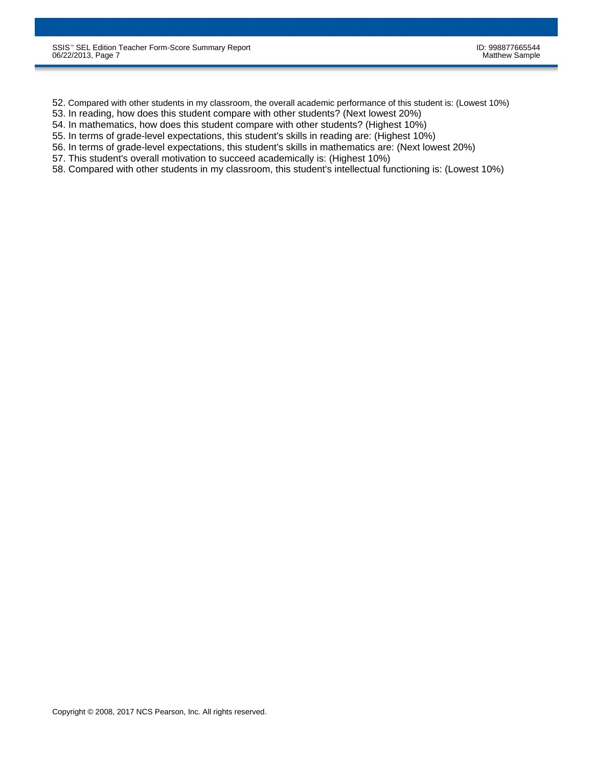- 52. Compared with other students in my classroom, the overall academic performance of this student is: (Lowest 10%)
- 53. In reading, how does this student compare with other students? (Next lowest 20%)
- 54. In mathematics, how does this student compare with other students? (Highest 10%)
- 55. In terms of grade-level expectations, this student's skills in reading are: (Highest 10%)
- 56. In terms of grade-level expectations, this student's skills in mathematics are: (Next lowest 20%)
- 57. This student's overall motivation to succeed academically is: (Highest 10%)
- 58. Compared with other students in my classroom, this student's intellectual functioning is: (Lowest 10%)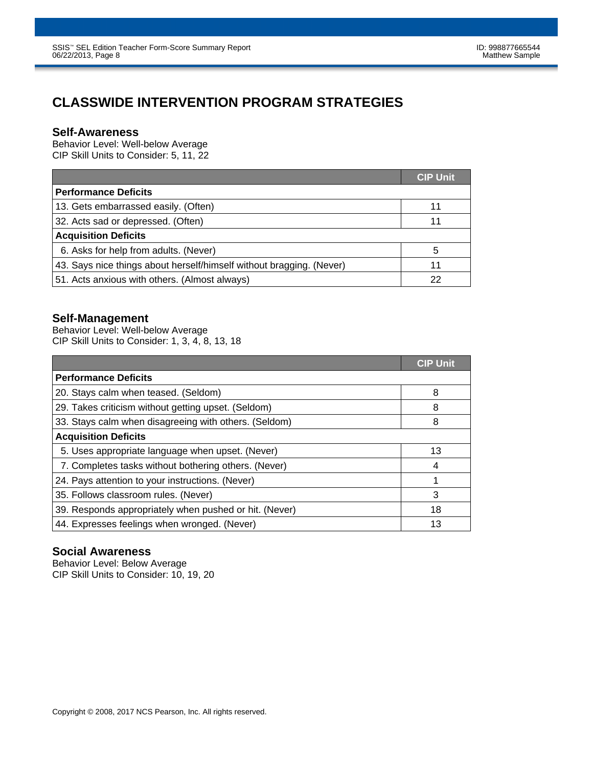# **CLASSWIDE INTERVENTION PROGRAM STRATEGIES**

### **Self-Awareness**

Behavior Level: Well-below Average CIP Skill Units to Consider: 5, 11, 22

|                                                                      | <b>CIP Unit</b> |
|----------------------------------------------------------------------|-----------------|
| <b>Performance Deficits</b>                                          |                 |
| 13. Gets embarrassed easily. (Often)                                 | 11              |
| 32. Acts sad or depressed. (Often)                                   | 11              |
| <b>Acquisition Deficits</b>                                          |                 |
| 6. Asks for help from adults. (Never)                                | 5               |
| 43. Says nice things about herself/himself without bragging. (Never) | 11              |
| 51. Acts anxious with others. (Almost always)                        | 22              |

### **Self-Management**

Behavior Level: Well-below Average CIP Skill Units to Consider: 1, 3, 4, 8, 13, 18

|                                                        | <b>CIP Unit</b> |
|--------------------------------------------------------|-----------------|
| <b>Performance Deficits</b>                            |                 |
| 20. Stays calm when teased. (Seldom)                   | 8               |
| 29. Takes criticism without getting upset. (Seldom)    | 8               |
| 33. Stays calm when disagreeing with others. (Seldom)  | 8               |
| <b>Acquisition Deficits</b>                            |                 |
| 5. Uses appropriate language when upset. (Never)       | 13              |
| 7. Completes tasks without bothering others. (Never)   | 4               |
| 24. Pays attention to your instructions. (Never)       |                 |
| 35. Follows classroom rules. (Never)                   | 3               |
| 39. Responds appropriately when pushed or hit. (Never) | 18              |
| 44. Expresses feelings when wronged. (Never)           | 13              |

### **Social Awareness**

Behavior Level: Below Average CIP Skill Units to Consider: 10, 19, 20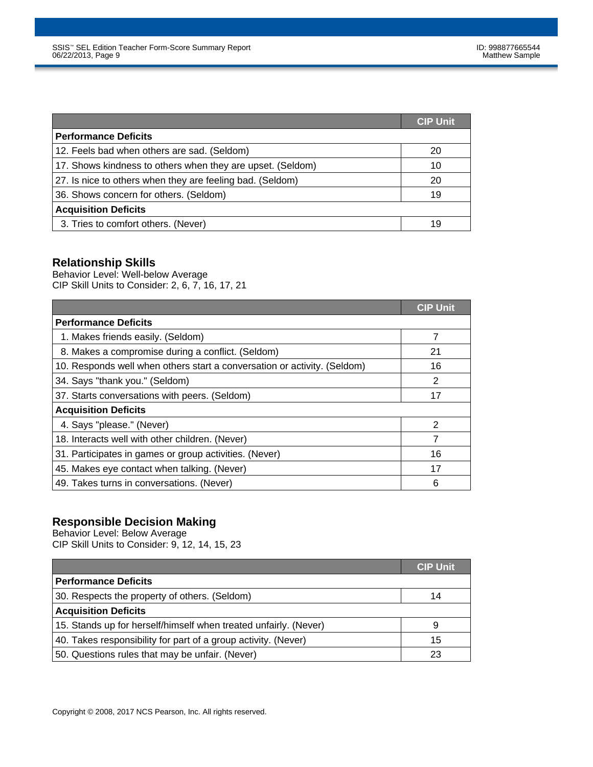|                                                            | <b>CIP Unit</b> |
|------------------------------------------------------------|-----------------|
| <b>Performance Deficits</b>                                |                 |
| 12. Feels bad when others are sad. (Seldom)                | 20              |
| 17. Shows kindness to others when they are upset. (Seldom) | 10              |
| 27. Is nice to others when they are feeling bad. (Seldom)  | 20              |
| 36. Shows concern for others. (Seldom)                     | 19              |
| <b>Acquisition Deficits</b>                                |                 |
| 3. Tries to comfort others. (Never)                        | 19              |

# **Relationship Skills**

Behavior Level: Well-below Average CIP Skill Units to Consider: 2, 6, 7, 16, 17, 21

|                                                                          | <b>CIP Unit</b> |
|--------------------------------------------------------------------------|-----------------|
| <b>Performance Deficits</b>                                              |                 |
| 1. Makes friends easily. (Seldom)                                        | 7               |
| 8. Makes a compromise during a conflict. (Seldom)                        | 21              |
| 10. Responds well when others start a conversation or activity. (Seldom) | 16              |
| 34. Says "thank you." (Seldom)                                           | 2               |
| 37. Starts conversations with peers. (Seldom)                            | 17              |
| <b>Acquisition Deficits</b>                                              |                 |
| 4. Says "please." (Never)                                                | $\mathcal{P}$   |
| 18. Interacts well with other children. (Never)                          | 7               |
| 31. Participates in games or group activities. (Never)                   | 16              |
| 45. Makes eye contact when talking. (Never)                              | 17              |
| 49. Takes turns in conversations. (Never)                                | 6               |

### **Responsible Decision Making**

Behavior Level: Below Average CIP Skill Units to Consider: 9, 12, 14, 15, 23

|                                                                  | <b>CIP Unit</b> |
|------------------------------------------------------------------|-----------------|
| <b>Performance Deficits</b>                                      |                 |
| 30. Respects the property of others. (Seldom)                    | 14              |
| <b>Acquisition Deficits</b>                                      |                 |
| 15. Stands up for herself/himself when treated unfairly. (Never) | 9               |
| 40. Takes responsibility for part of a group activity. (Never)   | 15              |
| 50. Questions rules that may be unfair. (Never)                  | 23              |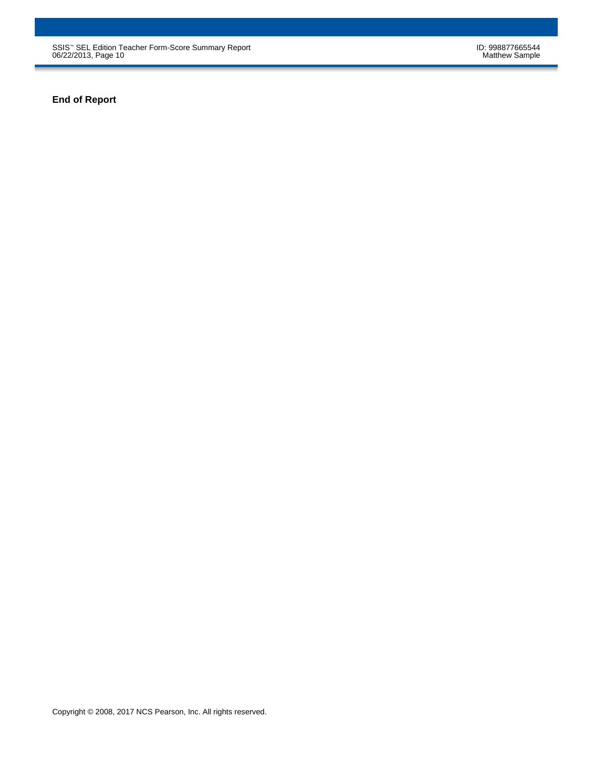SSIS™ SEL Edition Teacher Form-Score Summary Report ID: 998877665544 06/22/2013, Page 10 Matthew Sample

**End of Report**